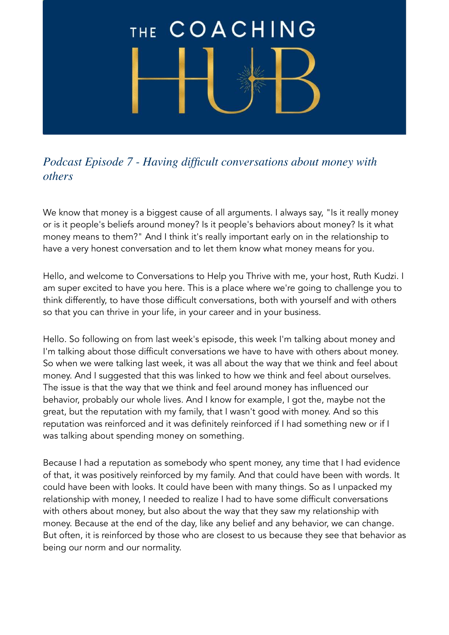## THE COACHING

## *Podcast Episode 7 - Having difficult conversations about money with others*

We know that money is a biggest cause of all arguments. I always say, "Is it really money or is it people's beliefs around money? Is it people's behaviors about money? Is it what money means to them?" And I think it's really important early on in the relationship to have a very honest conversation and to let them know what money means for you.

Hello, and welcome to Conversations to Help you Thrive with me, your host, Ruth Kudzi. I am super excited to have you here. This is a place where we're going to challenge you to think differently, to have those difficult conversations, both with yourself and with others so that you can thrive in your life, in your career and in your business.

Hello. So following on from last week's episode, this week I'm talking about money and I'm talking about those difficult conversations we have to have with others about money. So when we were talking last week, it was all about the way that we think and feel about money. And I suggested that this was linked to how we think and feel about ourselves. The issue is that the way that we think and feel around money has influenced our behavior, probably our whole lives. And I know for example, I got the, maybe not the great, but the reputation with my family, that I wasn't good with money. And so this reputation was reinforced and it was definitely reinforced if I had something new or if I was talking about spending money on something.

Because I had a reputation as somebody who spent money, any time that I had evidence of that, it was positively reinforced by my family. And that could have been with words. It could have been with looks. It could have been with many things. So as I unpacked my relationship with money, I needed to realize I had to have some difficult conversations with others about money, but also about the way that they saw my relationship with money. Because at the end of the day, like any belief and any behavior, we can change. But often, it is reinforced by those who are closest to us because they see that behavior as being our norm and our normality.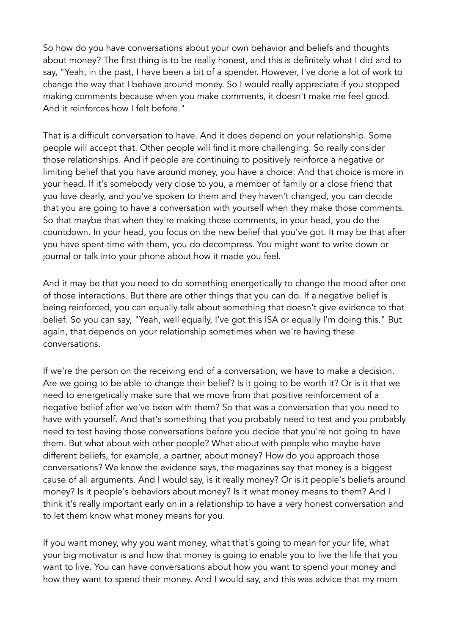So how do you have conversations about your own behavior and beliefs and thoughts about money? The first thing is to be really honest, and this is definitely what I did and to say, "Yeah, in the past, I have been a bit of a spender. However, I've done a lot of work to change the way that I behave around money. So I would really appreciate if you stopped making comments because when you make comments, it doesn't make me feel good. And it reinforces how I felt before."

That is a difficult conversation to have. And it does depend on your relationship. Some people will accept that. Other people will find it more challenging. So really consider those relationships. And if people are continuing to positively reinforce a negative or limiting belief that you have around money, you have a choice. And that choice is more in your head. If it's somebody very close to you, a member of family or a close friend that you love dearly, and you've spoken to them and they haven't changed, you can decide that you are going to have a conversation with yourself when they make those comments. So that maybe that when they're making those comments, in your head, you do the countdown. In your head, you focus on the new belief that you've got. It may be that after you have spent time with them, you do decompress. You might want to write down or journal or talk into your phone about how it made you feel.

And it may be that you need to do something energetically to change the mood after one of those interactions. But there are other things that you can do. If a negative belief is being reinforced, you can equally talk about something that doesn't give evidence to that belief. So you can say, "Yeah, well equally, I've got this ISA or equally I'm doing this." But again, that depends on your relationship sometimes when we're having these conversations.

If we're the person on the receiving end of a conversation, we have to make a decision. Are we going to be able to change their belief? Is it going to be worth it? Or is it that we need to energetically make sure that we move from that positive reinforcement of a negative belief after we've been with them? So that was a conversation that you need to have with yourself. And that's something that you probably need to test and you probably need to test having those conversations before you decide that you're not going to have them. But what about with other people? What about with people who maybe have different beliefs, for example, a partner, about money? How do you approach those conversations? We know the evidence says, the magazines say that money is a biggest cause of all arguments. And I would say, is it really money? Or is it people's beliefs around money? Is it people's behaviors about money? Is it what money means to them? And I think it's really important early on in a relationship to have a very honest conversation and to let them know what money means for you.

If you want money, why you want money, what that's going to mean for your life, what your big motivator is and how that money is going to enable you to live the life that you want to live. You can have conversations about how you want to spend your money and how they want to spend their money. And I would say, and this was advice that my mom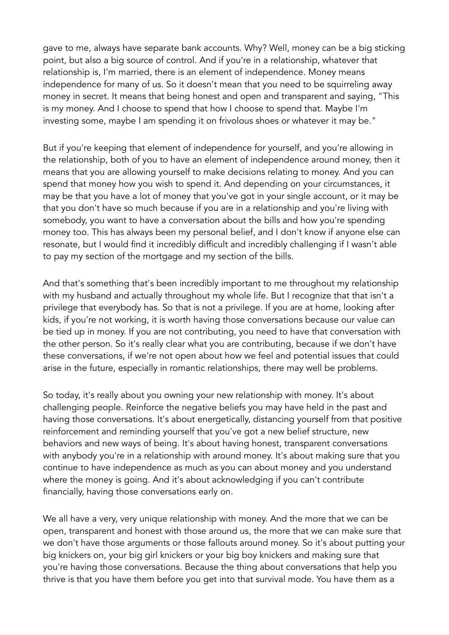gave to me, always have separate bank accounts. Why? Well, money can be a big sticking point, but also a big source of control. And if you're in a relationship, whatever that relationship is, I'm married, there is an element of independence. Money means independence for many of us. So it doesn't mean that you need to be squirreling away money in secret. It means that being honest and open and transparent and saying, "This is my money. And I choose to spend that how I choose to spend that. Maybe I'm investing some, maybe I am spending it on frivolous shoes or whatever it may be."

But if you're keeping that element of independence for yourself, and you're allowing in the relationship, both of you to have an element of independence around money, then it means that you are allowing yourself to make decisions relating to money. And you can spend that money how you wish to spend it. And depending on your circumstances, it may be that you have a lot of money that you've got in your single account, or it may be that you don't have so much because if you are in a relationship and you're living with somebody, you want to have a conversation about the bills and how you're spending money too. This has always been my personal belief, and I don't know if anyone else can resonate, but I would find it incredibly difficult and incredibly challenging if I wasn't able to pay my section of the mortgage and my section of the bills.

And that's something that's been incredibly important to me throughout my relationship with my husband and actually throughout my whole life. But I recognize that that isn't a privilege that everybody has. So that is not a privilege. If you are at home, looking after kids, if you're not working, it is worth having those conversations because our value can be tied up in money. If you are not contributing, you need to have that conversation with the other person. So it's really clear what you are contributing, because if we don't have these conversations, if we're not open about how we feel and potential issues that could arise in the future, especially in romantic relationships, there may well be problems.

So today, it's really about you owning your new relationship with money. It's about challenging people. Reinforce the negative beliefs you may have held in the past and having those conversations. It's about energetically, distancing yourself from that positive reinforcement and reminding yourself that you've got a new belief structure, new behaviors and new ways of being. It's about having honest, transparent conversations with anybody you're in a relationship with around money. It's about making sure that you continue to have independence as much as you can about money and you understand where the money is going. And it's about acknowledging if you can't contribute financially, having those conversations early on.

We all have a very, very unique relationship with money. And the more that we can be open, transparent and honest with those around us, the more that we can make sure that we don't have those arguments or those fallouts around money. So it's about putting your big knickers on, your big girl knickers or your big boy knickers and making sure that you're having those conversations. Because the thing about conversations that help you thrive is that you have them before you get into that survival mode. You have them as a